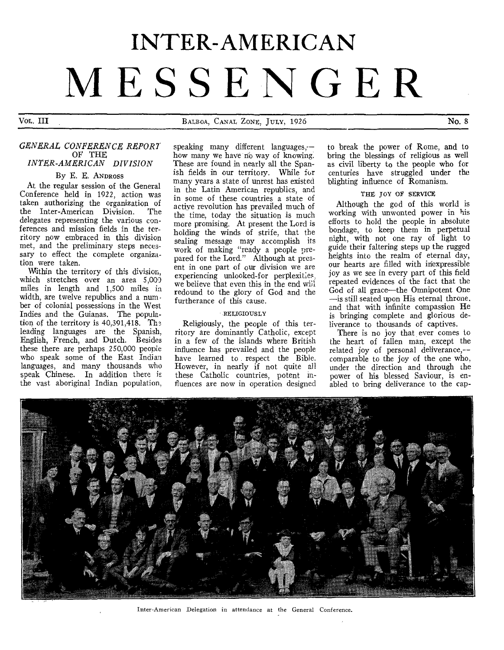# **INTER-AMERICAN MESSENGER**

Vol. III BALBOA, CANAL ZONE, JULY, 1926 No. 8

# *GENERAL CONFERENCE REPORT*  OF THE *INTER-AMERICAN DIVISION*

# By E. E. ANDROSS

At the regular session of the General Conference held in 1922, action was taken authorizing the organization of<br>the Inter-American Division. The the Inter-American Division. delegates representing the various conferences and mission fields in the territory now embraced in this division met, and the preliminary steps necessary to effect the complete organization were taken.

Within the territory of this division. which stretches over an area 5,000 miles in length and 1,500 miles in width, are twelve republics and a number of colonial possessions in the West Indies and the Guianas. The population of the territory is  $40,391,418$ . The leading languages are the Spanish, English, French, and Dutch. Besides these there are perhaps 250,000 people who speak some of the East Indian languages, and many thousands who speak Chinese. In addition there is the vast aboriginal Indian population,

speaking many different languages, how many we have no way of knowing. These are found in nearly all the Spanish fields in our territory. While for many years a state of unrest has existed in the Latin American republics, and in some of these countries a state of active revolution has prevailed much of the time, today the situation is much more promising. At present the Lord is holding the winds of strife, that the sealing message may accomplish its work of making "ready a people prepared for the Lord." Although at present in one part of our division we are experiencing unlooked-for perplexities, we believe that even this in the end will redound to the glory of God and the furtherance of this cause.

#### RELIGIOUSLY

Religiously, the people of this territory are dominantly Catholic, except in a few of the islands where British influence has prevailed and the people have learned to respect the Bible. However, in nearly if not quite all these Catholic countries, potent influences are now in operation designed

to break the power of Rome, and to bring the blessings of religious as well as civil liberty to the people who for centuries have struggled under the blighting influence of Romanism.

## THE TOY OF SERVICE

Although the god of this world is working with unwonted power in his efforts to hold the people in absolute bondage, to keep them in perpetual night, with not one ray of light to guide their faltering steps up the rugged heights into the realm of eternal day, our hearts are filled with inexpressible joy as we see in every part of this field repeated evidences of the fact that the God of all grace—the Omnipotent One —is still seated upon His eternal throne. and that with infinite compassion He is bringing complete and glorious deliverance to thousands of captives.

There is no joy that ever comes to the heart of fallen man, except the related joy of personal deliverance,- comparable to the joy of the one who, under the direction and through the power of his blessed Saviour, is enabled to bring deliverance to the cap-



Inter-American Delegation in attendance at the General Conference.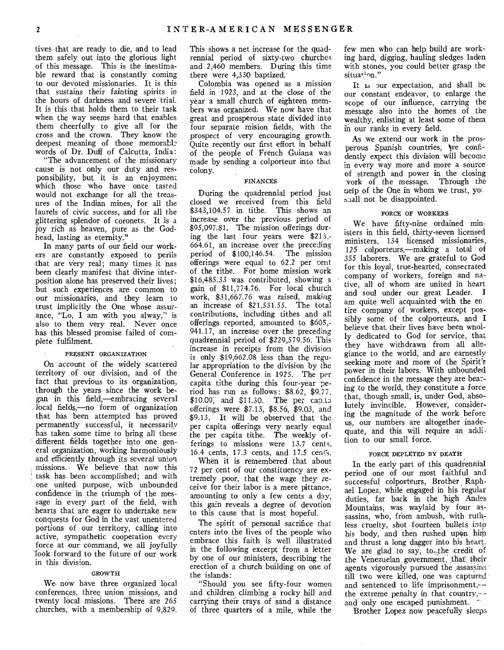tives that are ready to die, and to lead them safely out into the glorious light of this message. This is the inestimable reward that is constantly coming to our devoted missionaries. It is this that sustains their fainting spirits in the hours of darkness and severe trial. It is this that holds them to their task when the way seems hard that enables them cheerfully to give all for the cross and the crown. They know the deepest meaning of those memorable words of Dr. Duff of Calcutta, India:

"The advancement of the missionary cause is not only our duty and responsibility, but it is an enjoyment which those who have once tasted would not exchange for all the treasures of the Indian mines, for all the laurels of civic success, and for all the glittering splendor of coronets. It is a joy rich as heaven, pure as the Godhead, lasting as eternity."

In many parts of our field our workers are constantly exposed to perils -that are very real; many times it nas been clearly manifest that divine interposition alone has preserved their lives; but such experiences are common to our missionaries, and they learn to trust implicitly the One whose assurance, "Lo, I am with you alway," is also to them very real. Never once has this blessed promise failed of complete fulfilment.

#### PRESENT ORGANIZATION

On account of the widely scattered territory of our division, and of the fact that previous to its organization, through the years since the work began in this field,—embracing several local fields,—no form of organization that has been attempted has proved permanently successful, it necessarily has taken some time to bring all these different fields together into one general organization, working harmoniously and efficiently through its several union missions. We believe that now this task has been accomplished; and with one united purpose, with unbounded confidence in the triumph of the message in every part of the field, with hearts that are eager to undertake new conquests for God in the vast unentered portions of our territory, calling into active, sympathetic cooperation every force at our command, we all joyfully look forward to the future of our work in this division.

#### GROWTH

We- now have three organized local conferences, three union missions, and twenty local missions. There are 265 churches, with a membership of 9,829. This shows a net increase for the quadrennial period of sixty-two churches and 2,460 members. During this time there were 4,330 baptized.

Colombia was opened as a mission field in 1923, and at the close of the year a small church of eighteen members was organized. We now have that great and prosperous state divided into four separate mision fields, with the prospect of very encouraging growth. Quite recently our first effort in behalf of the people of French Guiana was made by sending a colporteur into that colony.

#### FINANCES

During the quadrennial period just closed we received from this field \$343,104.57 in tithe. This shows an increase over the previous period of \$95,097.81. The mission offerings during the last four years were \$213,- 664.61, an increase over the preceding period of \$100,146.54. The mission offerings were equal to 62.2 per cent of the tithe. For home mission work \$16,485.33 was contributed, showing a gain of \$11,774.76. For local church work, \$31,667.76 was raised, making an increase of \$21,531.55. The total contributions, including tithes and all offerings reported, amounted to \$605,- 941.17, an increase over the preceding quadrennial period of \$229,579.56. This increase in receipts from the division is only \$19,662.08 less than the regular appropriation to the division by the General Conference in 1925. The per capita tithe during this four-year period has run as follows: \$8.62, \$9.77, \$10.09, and \$11.30. The per can.ta offerings were \$7.13, \$8.56, \$9.03, and \$9.13. It will be observed that the per capita offerings very nearly equal the per capita tithe. The weekly offerings to missions were 13.7 cents, 16.4 cents, 17.3 cents, and 17.5 cents.

When it is remembered that about 72 per cent of our constituency are extremely poor, that' the wage they receive for their labor is a mere pittance, amounting to only a few cents a day, this gain reveals a degree of devotion to this cause that is most hopeful.

The spirit of personal sacrifice that enters into the lives of the people who embrace this faith is well illustrated in the following excerpt from a letter by one of our ministers, describing the erection of a church building on one of the islands:

"Should you see fifty-four women and children climbing a rocky hill and carrying their trays of sand a distance of three quarters of a mile, while the

few men who can help build are working hard, digging, hauling sledges laden with stones, you could better grasp the situation."

It is our expectation, and shall be our constant endeavor, to enlarge the scope of our influence, carrying the message also into the homes of the wealthy, enlisting at least some of them in our ranks in every field.

As we extend our work in the prosperous Spanish countries, we confidently expect this division will become in every way more and more a source of strength and power in the closing work of the message. Through the uelp of the One in whom we trust, shall not be disappointed.

#### FORCE OF WORKERS

We have fifty-nine ordained ministers in this field, thirty-seven licensed ministers, 134 licensed missionaries, 125 colporteurs,—making a total of 355 laborers. We are grateful to God for this loyal, true-hearted, consecrated company of workers, foreign and native, all of whom are united in heart and soul under our great Leader. am quite well acquainted with the en tire company of workers, except possibly some of the colporteurs, and I believe that their lives have been wnolly dedicated to God for service, that they have withdrawn from all allegiance to the world, and are earnestly seeking more and more of the Spirit's power in their labors. With unbounded confidence in the message they are bea7 ing to the world, they constitute a force that, though small, is, under God, absolutely invincible. However, considering the magnitude of the work before us, our numbers are altogether inadequate, and this will require an addition to our small force.

#### PoRCE DEPLETED BY DEATH

In the early part of this quadrennial period one of our most faithful and successful colporteurs, Brother Raphael Lopez, while engaged in his regular duties, far back in the 'high Andes Mountains, was waylaid by four assassins, who, from ambush, with ruthless cruelty, shot fourteen bullets into his body, and then rushed upon him<br>his body, and then rushed upon him<br>and thrust a long dagger into his heart.<br>We are glad to say to the credit of We are glad to say, to, the credit of the Venezuelan government, that their agents vigorously pursued the assassins' till two were killed, one was captured and sentenced to life imprisonment,- the extreme penalty in that country, $\sim$ and only one escaped punishment.

Brother Lopez now peacefully sleeps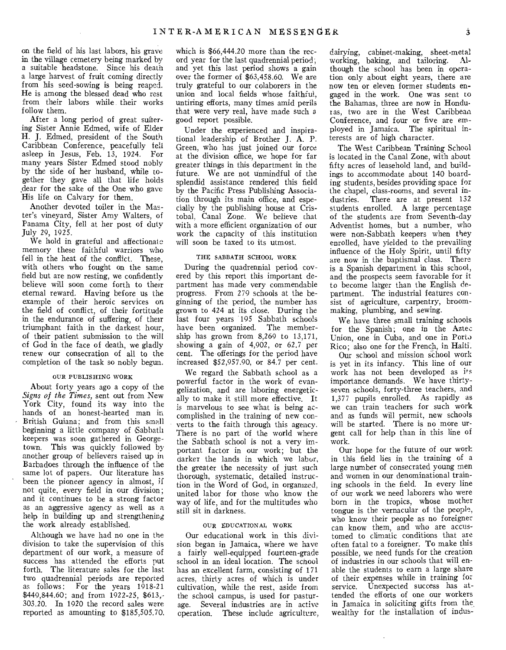on the field of his last labors, his grave in the village cemetery being marked by a suitable headstone. Since his death a large harvest of fruit coming directly from his seed-sowing is being reaped. He is among the blessed dead who rest from their labors while their works follow them.

After a long period of great suffering Sister Annie Edmed, wife of Elder H. J. Edmed, president of the South Caribbean Conference, peacefully fell asleep in Jesus, Feb. 13, 1924. For many years Sister Edmed stood nobly by the side of her husband, while together they gave all that life holds \_dear for the sake of the One who gave His life on Calvary for them.

Another devoted toiler in the Master's vineyard, Sister Amy Walters, of Panama City, fell at her post of duty July 29, 1925.

We hold in grateful and affectionate memory these faithful warriors who fell in the heat of the conflict. These, with others who fought on the same field but are now resting, we confidently believe will soon come forth to their eternal reward. Having before us the example of their heroic services on the field of conflict, of their fortitude in the endurance of suffering, of their triumphant faith in the darkest hour, of their patient submission to the will of God in the face of death, we gladly renew our consecration of all to the completion of the task so nobly begun.

#### OUR PUBLISHING WORK

About forty years ago a copy of the *Signs of the Times,* sent out from New York City, found its way into the hands of an honest-hearted man in British Guiana; and from this small beginning a little company of Sabbath keepers was soon gathered in Georgetown. This was quickly followed by another group of believers raised up in Barbadoes through the influence of the same lot of papers. Our literature has been the pioneer agency in almost, if not quite, every field in our division; and it continues to be a strong factor as an aggressive agency as well as a help in building up and strengthening the work already established.

Although we have had no one in the division to take the supervision of this department of our work, a measure of success has attended the efforts put forth. The literature sales for the last two quadrennial periods are reported as follows: For the years 1918-21 \$449,844.60; and from 1922-25, \$613,- 303.20. In 1920 the record sales were reported as amounting to \$185,505.70. which is \$66,444.20 more than the record year for the last quadrennial period: and yet this last period shows a gain over the former of \$63,458.60. We are truly grateful to our colaborers in the union and local fields whose faithful, untiring efforts, many times amid perils that were very real, have made such *<sup>a</sup>* good report possible.

Under the experienced and inspirational leadership of Brother J. A. P. Green, who has just joined our force at the division office, we hope for far greater things in this department in the future. We are not unmindful of the splendid assistance rendered this field by the Pacific Press Publishing Association through its main office, and especially by the publishing house at Cristobal, Canal Zone. We believe that with a more efficient organization of our work the capacity of this institution will soon be taxed to its utmost.

#### THE SABBATH SCHOOL WORK

During the quadrennial period covered by this report this important department has made very commendable progress. From 279 schools at the beginning of the period, the number has grown to 424 at its close. During the last four years 195 Sabbath schools have been organized. The membership has grown from 8,269 to 13,171, showing a gain of 4,902, or 62.7 per cent. The offerings for the period have increased \$52,957.90, or 84.7 per cent.

We regard the Sabbath school as a powerful factor in the work of evangelization, and are laboring energetically to make it still more effective. It is marvelous to see what is being accomplished in the training of new converts to the faith through this agency. There is no part of the world where the Sabbath school is not a very important factor in our work; but the darker the lands in which we labor, the greater the necessity of just such thorough, systematic, detailed instruction in the Word of God, in organized, united labor for those who know the way of life, and for the multitudes who still sit in darkness.

#### OUR EDUCATIONAL WORK

Our educational work in this division began in Jamaica, where we have a fairly well-equipped fourteen-grade school in an ideal location. The school has an excellent farm, consisting of 171 acres, thirty acres of which is under cultivation, while the rest, aside from the school campus, is used for pasturage. Several industries are in active operation. These include agriculture,

dairying, cabinet-making, sheet-metal working, baking, and tailoring. Although the school has been in operation only about eight years, there are now ten or eleven former students engaged in the work. One was sent to the Bahamas, three are now in Honduras, two are in the West Caribbean Conference, and four or five are employed in Jamaica. The spiritual interests are of high character.

The West Caribbean Training School is located in the Canal Zone, with about fifty acres of leasehold land, and buildings to accommodate about 140 boarding students, besides providing space for the chapel, class-rooms, and several industries. There are at present 132 students enrolled. A large percentage of the students are from Seventh-day Adventist homes, but a number, who were non-Sabbath keepers when they enrolled, have yielded to the prevailing influence of the Holy Spirit, until fifty are now in the baptismal class. There is a Spanish department in this school, and the prospects seem favorable for it to become larger than the English department. The industrial features consist of agriculture, carpentry, broommaking, plumbing, and sewing.

We have three small training schools for the Spanish; one in the Aztec Union, one in Cuba, and one in Porto Rico; also one for the French, in Haiti.

Our school and mission school work is yet in its infancy. This line of our work has not been developed as its importance demands. We have thirtyseven schools, forty-three teachers, and *1,377* pupils enrolled. As rapidly as we can train teachers for such work and as funds will permit, new schools will be started. There is no more urgent call for help than in this line of work.

Our hope for the future of our work in this field lies in the training of a large number of consecrated young men and women in our denominational training schools in the field. In every line of our work we need laborers who were born in the tropics, whose mother tongue is the vernacular of the people, who know their people as no foreigner can know them, and who are accustomed to climatic conditions that are often fatal to a foreigner. To make this possible, we need funds for the creation of industries in our schools that will enable the students to earn a large share of their expenses while in training for service. Unexpected success has attended the efforts of one our workers in Jamaica in soliciting gifts from the wealthy for the installation of indus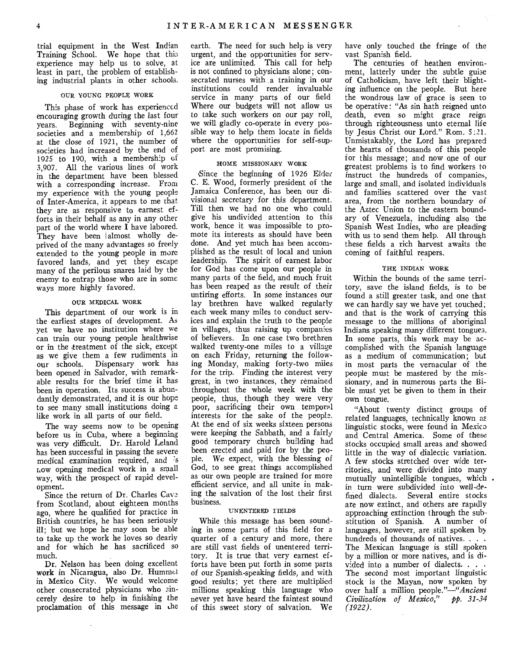trial equipment in the West Indian Training School. We hope that this experience may help us to solve, at least in part, the problem of establishing industrial plants in other schools.

#### OUR YOUNG PEOPLE WORK

This phase of work has experienced encouraging growth during the last four years. Beginning with seventy-nine societies and a membership of 1,662 at the close of 1921, the number of societies had increased by the end of 1925 to 190, with a membership of 3,907. All the various lines of work in the department have been blessed with a corresponding increase. From my experience with the young people of Inter-America, it appears to me that they are as responsive to earnest efforts in their behalf as any in any other part of the world where I have labored. They have been 'almost wholly deprived of the many advantages so freely extended to the young people in more favored lands, and yet they escape many of the perilous snares laid by the enemy to entrap those who are in some ways more highly favored.

#### OUR MEDICAL WORK

This department of our work is in the earliest stages of development. As yet we have no institution where we can train our young people healthwise or in the treatment of the sick, except as we give them a few rudiments in our schools. Dispensary work has been opened in Salvador, with remarkable results for the brief time it has been in operation. Its success is abundantly demonstrated, and it is our hope to see many small institutions doing a like work in all parts of our field.

The way seems now to be opening before us in Cuba, where a beginning was very difficult. Dr. Harold Leland has been successful in passing the severe medical examination required, and 's now opening medical work in a small way, with the prospect of rapid development.

Since the return of Dr. Charles Cave from Scotland, about eighteen months ago, where he qualified for practice in British countries, he has been seriously ill; but we hope he may soon be able to take up the work he loves so dearly and for which he has sacrificed so much.

Dr. Nelson has been doing excellent work in Nicaragua, also Dr. Hummel in Mexico City. We would welcome other consecrated physicians who sincerely desire to help in finishing the proclamation of this message in Lhe earth. The need for such help is very urgent, and the opportunities for service are unlimited. This call for help is not confined to physicians alone; consecrated nurses with a training in our institutions could render invaluable service in many parts of our field Where our budgets will not allow us to take such workers on our pay roll, we will gladly co-operate in every possible way to help them locate in fields where the opportunities for self-support are most promising.

#### HOME MISSIONARY WORK

since the beginning of 1926 Elder C. E. Wood, formerly president of the Jamaica Conference, has been our divisional secretary for this department. Till then we had no one who could give his undivided attention to this work, hence it was impossible to promote its interests as should have been done. And yet much has been accomplished as the result of local and union leadership. The spirit of earnest labor for God has come upon our people in many parts of the field, and much fruit has been reaped as the result of their untiring efforts. In some instances our lay brethren have walked regularly each week many miles to conduct services and explain the truth to the people in villages, thus raising up companies of believers. In one case two brethren walked twenty-one miles to a village on each Friday, returning the following Monday, making forty-two miles for the trip. Finding the interest very great, in two instances, they remained throughout the whole week with the people, thus, though they were very poor, sacrificing their own temporal interests for the sake of the peoplz. At the end of six weeks sixteen persons were keeping the Sabbath, and a fairly good temporary church building had been erected and paid for by the people. We expect, with the blessing of God, to see great things accomplished as our own people are trained for more efficient service, and all unite in making the salvation of the lost their first business.

#### UNENTERED ITELDS

While this message has been sounding in some parts of this field for a quarter of a century and more, there are still vast fields of unentered territory. It is true that very earnest efforts have been put forth in some parts of our Spanish-speaking fields, and with good results; yet there are multiplied millions speaking this language who never yet have heard the faintest sound of this sweet story of salvation. We

have only touched the fringe of the vast Spanish field.

The centuries of heathen environment, latterly under the subtle guise of Catholicism, have left their blighting influence on the people. But here the wondrous law of grace is seen to be operative: "As sin hath reigned unto death, even so might grace reign through righteousness unto eternal life by Jesus Christ our Lord." Rom. 5:21. Unmistakably, the Lord has prepared the hearts of thousands of this people for this message; and now one of our greatest problems is to find workers to instruct the hundreds of companies, large and small, and isolated individuals and families scattered over the vast area, from the northern boundary of the Aztec Union to the eastern boundary of Venezuela, including also the Spanish West Indies, who are pleading with us to send them help. All through these fields a rich harvest awaits the coming of faithful reapers.

#### THE INDIAN WORK

Within the bounds of the same territory, save the island fields, is to be found a still greater task, and one that we can hardly say we have yet touched; and that is the work of carrying this message to the millions of aboriginal Indians speaking many different tongues. In some parts, this work may be accomplished with the Spanish language as a medium of communication; but in most parts the vernacular of the people must be mastered by the missionary, and in numerous parts the Bible must yet be given to them in their own tongue.

"About twenty distinct groups of related languages, technically known as linguistic stocks, were found in Mexico and Central America. Some of these stocks occupied small areas and showed little in the way of dialectic variation. A few stocks stretched over wide territories, and were divided into many mutually unintelligible tongues, which. in turn were subdivided into well-defined dialects. Several entire stocks are now extinct, and others are rapidly approaching extinction through the sub• stitution of Spanish. A number of languages, however, are still spoken by hundreds of thousands of natives. . . . The Mexican language is still spoken by a million or more natives, and is divided into a number of dialects. . . The second most important linguistic stock is the Mayan, now spoken by over half a million people."—"Ancient *Civilization of Mexico," pp. 31-34 (1922).*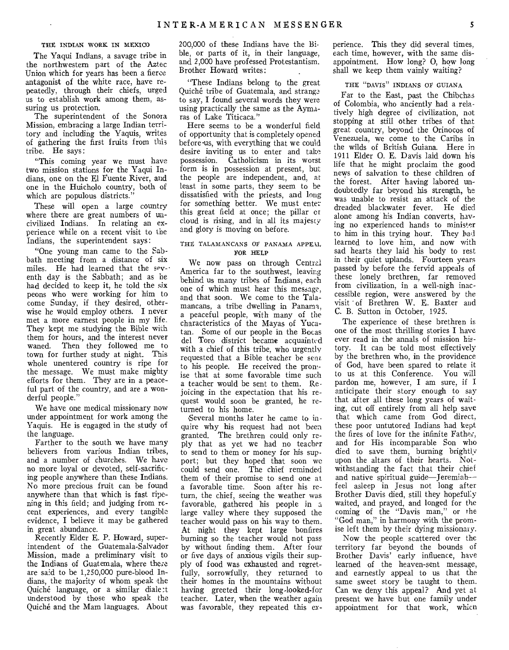#### THE INDIAN WORK IN MEXICO

The Yaqui Indians, a savage tribe in the northwestern part of the Aztec Union which for years has been a fierce antagonist of the white race, have repeatedly, through their chiefs, urged us to establish work among them, assuring us protection.

The superintendent of the Sonora Mission, embracing a large Indian territory and including the Yaquis, writes of gathering the first fruits from this tribe. He says:

"This coming year we must have two mission stations for the Yaqui Indians, one on the El Fuente River, and one in the Huicholo country, both of which are populous districts.

These will open a large country where there are great numbers of uncivilized Indians. In relating an experience while on a recent visit to the Indians, the superintendent says:

"One young man came to the Sabbath meeting from a distance of six miles. He had learned that the seventh day is the Sabbath; and as he had decided to keep it, he told the six peons who were working for him to come Sunday, if they desired, otherwise he would employ others. I never met a more earnest people in my life. They kept me studying the Bible with them for hours, and the interest never waned. Then they followed me to town for further study at night. This whole unentered country is ripe for the message. We must make mighty efforts for them. They are in a peaceful part of the country, and are a wonderful people."

We have one medical missionary now under appointment for work among the Yaquis. He is engaged in the study of the language.

Farther to the south we have many believers from various Indian tribes, and a number of churches. We have no more loyal or devoted, self-sacrificing people anywhere than these Indians. No more precious fruit can be found anywhere than that which is fast ripening in this field; and judging from recent experiences, and every tangible evidence, I believe it may be gathered in great abundance.

Recently Elder E. P. Howard, superintendent of the Guatemala-Salvador Mission, made a preliminary visit to the Indians of Guatemala, where there are said to be 1,250,000 pure-blood Indians, the majority of whom speak the Quiche language, or a similar diale:t understood by those who speak the Quiche and the Mam languages. About

200,000 of these Indians have the Bible, or parts of it, in their language, and 2,000 have professed Protestantism. Brother Howard writes:

"These Indians belong to the great Quiche tribe of Guatemala, and stranga to say, I found several words they were using practically the same as the Aymaras of Lake Titicaca."

Here seems to be a wonderful field of opportunity that is completely opened before-us, with everything that we could desire inviting us to enter and take possession. Catholicism in its worst form is in possession at present, but the people are independent, and, at least in some parts, they seem to be dissatisfied with the priests, and long for something better. We must enter this great field at once; the pillar or cloud is rising, and in all its majesty and glory is moving on before.

#### THE TALAMANCANS OT PANAMA APPEAL TOR HELP

We now pass on through Central America far to the southwest, leaving behind us many tribes of Indians, each one of which must hear this message, and that soon. We come to the Talamancans, a tribe dwelling in Panama, a peaceful people, with many of the characteristics of the Mayas of Yucatan. Some of our people in the Bocas del Toro district became acquainted with a chief of this tribe, who urgently requested that a Bible teacher be sent to his people. He received the pronise that at some favorable time such a teacher would be sent to them. Rejoicing in the expectation that his request would soon be granted, he returned to his home.

Several months later he came to inquire why his request had not been granted. The brethren could only reply that as yet we had no teacher to send to them or money for his support; but they hoped that soon we could send one. The chief reminded them of their promise to send one at a favorable time. Soon after his return, the chief, seeing the weather was favorable, gathered his people in a large valley where they supposed the teacher would pass on his way to them. At night they kept large bonfires burning so the teacher would not pass by without finding them. After four or five days of anxious vigils their supply of food was exhausted and regretfully, sorrowfully, they returned to their homes in the mountains without having greeted their long-looked-for teacher. Later, when the weather again was favorable, they repeated this experience. This they did several times. each time, however, with the same disappointment. How long? O, how long shall we keep them vainly waiting?

#### THE "DAVIS" INDIANS OT GUIANA

Far to the East, past the Chibchas of Colombia, who anciently had a relatively high degree of civilization, not stopping at still other tribes of that great country, beyond the Orinocos of Venezuela, we come to the Caribs in the wilds of British Guiana. Here in 1911 Elder 0. E. Davis laid down his life that he might proclaim the good news of salvation to these children of the forest. After having labored undoubtedly far beyond his strength, he was unable to resist an attack of the dreaded blackwater fever. He died alone among his Indian converts, having no experienced hands to minister to him in this trying hour. They hal learned to love him, and now with sad hearts they laid his body to rest in their quiet uplands. Fourteen years passed by before the fervid appeals of these lonely brethren, far removed from civilization, in a well-nigh inaccessible region, were answered by the visit of Brethren W. E. Baxter and C. B. Sutton in October, 1925.

The experience of these brethren is one of the most thrilling stories I have ever read in the annals of mission history. It can be told most effectively by the brethren who, in the providence of God, have been spared to relate it to us at this Conference. You will pardon me, however, I am sure, if I anticipate their story enough to say that after all these long years of waiting, cut off entirely from all help save that which came from God direct, these poor untutored Indians had kept the fires of love for the infinite Father, and for His incomparable Son who died to save them, burning brightly upon the altars of their hearts. Notwithstanding the fact that their chief and native spiritual guide—Jeremiah feel asleep in Jesus not long after Brother Davis died, still they hopefully waited, and prayed, and longed for the coming of the "Davis man," or the "God man," in harmony with the promise left them by their dying missionary.

Now the people scattered over the territory far beyond the bounds of Brother Davis' early influence, have learned of the heaven-sent message, and earnestly appeal to us that the same sweet story be taught to them. Can we deny this appeal? And yet at present we have but one family under appointment for that work, which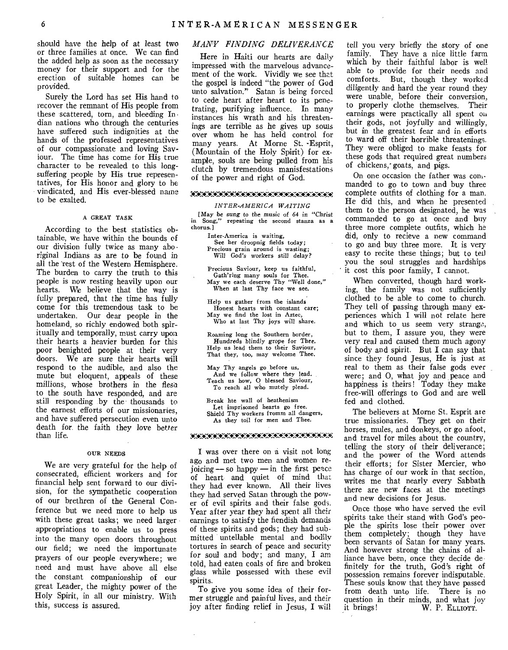should have the help of at least two or three families at once. We can find the added help as soon as the necessary money for their support and for the erection of suitable homes can he provided.

Surely the Lord has set His hand to recover the remnant of His people from these scattered, torn, and bleeding In dian nations who through the centuries have suffered such indignities at the hands of the professed representatives of our compassionate and loving Saviour. The time has come for His true character to be revealed to this longsuffering people by His true representatives, for His honor and glory to he vindicated, and His ever-blessed name to be exalted.

#### A GREAT TASK

According to the best statistics obtainable, we have within the bounds of our division fully twice as many aboriginal Indians as are to be found in all the 'rest of the Western Hemisphere. The burden to carry the truth to this people is now resting heavily upon our hearts. We believe that the way is fully prepared, that the time has fully come for this tremendous task to be undertaken. Our dear people in the homeland, so richly endowed both spiritually and temporally, must carry upon their hearts a heavier burden for this poor benighted people at their very doors. We are sure their hearts will respond to the audible, and also the mute but eloquent, appeals of these millions, whose brothers in the flesu to the south have responded, and are still responding by the thousands to the earnest efforts of our missionaries, and have suffered persecution even unto death for, the faith they love better than life.

#### OUR NEEDS

We are very grateful for the help of consecrated, efficient workers and for financial help sent forward to our division, for the sympathetic cooperation of our brethren of the General Conference but we need more to help us with these great tasks; we need larger appropriations to enable us to press into the many open doors throughout our field; we need the importunate prayers of our people everywhere; we need and must have above all else the constant companionship of our great Leader, the mighty power of the Holy Spirit, in all our ministry. With this, success is assured.

# *MANY FINDING DELIVERANCE*

Here in Haiti our hearts are daily impressed with the marvelous advancement of the work. Vividly we see that the gospel is indeed "the power of God unto salvation." Satan is being forced to cede heart after heart to its penetrating, purifying influence. In many instances his wrath and his threatenings are terrible as he gives up souls over whom he has held control for many years. At Morne St. -Esprit, (Mountain of the Holy Spirit) for example, souls are being pulled from his clutch by tremendous manisfestations of the power and right of God.

#### *.WX:CA:C#.7A7AX:CA'ArKkA:WWWWWWWWWK\*,*

#### *INTER-AMERICA WAITING*

[May be sung to the music of 64 in "Christ<br>in Song," repeating the second stanza as a repeating the second stanza as a chorus. ]

> Inter-America is waiting, See her droopnig fields today; Precious grain around is wasting; Will God's workers still delay?

Precious Saviour, keep us faithful, Gath'ring many souls for Thee. May we each deserve Thy "Well done," When at last Thy face we see.

Help us gather from the islands Honest hearts with constant care; May we find the lost in Aztec, Who at last Thy joys will share.

Roaming long the Southern border, Hundreds blindly grope for Thee. Help us lead them to their Saviour, That they, too, may welcome Thee.

May Thy angels go before us, And we follow where they lead. Teach us how, 0 blessed Saviour, To reach all who mutely plead.

Break hte wall of heathenism Let imprisoned hearts go free. Shield Thy workers fromm all dangers, As they toil for men and Thee.

#### ;#:".CCAWA:CAWKAW7#X.C40:2C.CACAA:CCAW.:A

I was over there on a visit not long ago and met two men and women rejoicing — so happy —in the first peace of heart and quiet of mind that they had ever known. All their lives they had served Satan through the power of evil spirits and their false god,. Year after year they had spent all their earnings to satisfy the fiendish demands of these spirits and gods; they had submitted untellable mental and bodily tortures in search of peace and security for soul and body; and many, I am told, had eaten coals of fire and broken glass while possessed with these evil spirits.

To give you some idea of their former *struggle* and painful lives, and their joy after finding relief in Jesus, I will tell you very briefly the story of one family. They have a nice little farm which by their faithful labor is well able to provide for their needs and comforts. But, though they worked diligently and hard the year round they were unable, before their conversion, to properly clothe themselves. Their earnings were practically all spent on their gods, not joyfully and willingly, but in the greatest fear and in efforts to ward off their horrible threatening,. They were obliged to make feasts for these gods that required great numbers of chickens, goats, and pigs.

On one occasion the father was commanded to go to town and buy three complete outfits of clothing for a man. He did this, and when he presented them to the person designated, he was commanded to go at once and buy three more complete outfits, which he did, only to recieve a new command to go and buy three more. It is very easy to recite these things; but to tell you the soul struggles and hardships it cost this poor family, I cannot.

When converted, though hard working, the family was not sufficiently clothed to be able to come to church. They tell of passing through many experiences which I will not relate here and which to us seem very strange, but to them, I assure you, they were very real and caused them much agony of body and spirit. But I can say that since they found Jesus, He is just as real to them as their false gods ever were; and 0, what joy and peace and happiness is theirs! Today they make free-will offerings to God and are well fed and clothed.

The believers at Morne St. Esprit are true missionaries. They get on their horses, mules, and donkeys, or go afoot, and travel for miles about the country, telling the story of their deliverance; and the power of the Word attends their efforts; for Sister Mercier, who has charge of our work in that section, writes me that nearly every Sabbath there are new faces at the meetings and new decisions for Jesus.

Once those who have served the evil spirits take their stand with God's people the spirits lose their power over them completely; though they have been servants of Satan for many years. And however strong the chains of alliance have been, once they decide de finitely for the truth, God's right of possession remains forever indisputable. These souls know that they have passed from death unto life. There is no question in their minds, and what joy it brings! W. P. ELLIOTT.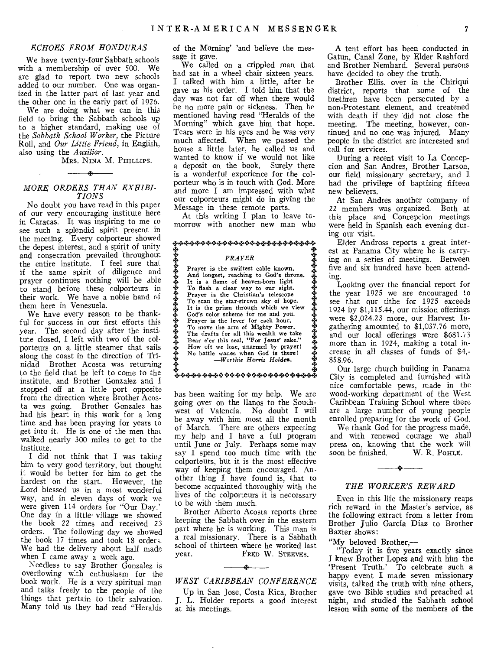#### *ECHOES FROM HONDURAS*

We have twenty-four Sabbath schools with a membership of over 500. We are glad to report two new schools added to our number. One was organized in the latter part of last year and the other one in the early part of 1926.

We are doing what we can in this field to bring the Sabbath schools up to a higher standard, making use of the *Sabbath School Worker,* the Picture Roll, and *Our Little Friend,* in English, also using the *Auxiliar.* 

MRS. NINA M. PHILLIPS.

# *MORE ORDERS THAN EXHIBI-TIONS*

No doubt you have read in this paper of our very encouraging institute here in Caracas. It was inspiring to me to see such a splendid spirit present in the meeting. Every colporteur showed the depest interest, and a spirit of unity and consecration prevailed throughout the entire institute. I feel sure that if the same spirit of diligence and prayer continues nothing will be able to stand before these colporteurs in their work. We have a noble band of them here in Venezuela.

We have every reason to be thankful for success in our first efforts this year. The second day after the institute closed, I left with two of the colporteurs on a little steamer that sails along the coast in the direction of Trinidad Brother Acosta was returning to the field that he left to come to the institute, and Brother Gonzalez and I stopped off at a little port opposite from the direction where Brother Acosta was going. Brother Gonzalez has had his heart in this work for a long time and has been praying for years to get into it. He is one of the men tha walked nearly 300 miles to get to the institute.

I did not think that I was taking him to very good territory, but thought it would be better for him to get the hardest on the start. However, the Lord blessed us in a most wonderful way, and in eleven days of work we were given 114 orders for "Our Day.' One day in a little- village we showed the book 22 times and received 23 orders. The following day we showed the book 17 times and took 18 orders. We had the delivery about half made when I came away a week ago.

Needless to say Brother Gonzalez is overflowing with enthusiasm for the book work. He is a very spiritual man and talks freely to the people of the things that pertain to their salvation. Many told us they had read "Heralds

of the Morning' 'and believe the message it gave.

We called on a crippled man that had sat in a wheel chair sixteen years. I talked with him a little, after he gave us his order. I told him that the day was not far off when there would be no more pain or sickness. Then he mentioned having read "Heralds of the Morning" which gave him that hope. Tears were in his eyes and he was very much affected. When we passed the house a little later, he called us and wanted to know if we would not like a deposit on the book. Surely there is a wonderful experience for the colporteur who is in touch with God. More and more I am impressed with what our colporteurs might do in giving the Message in these remote parts.

At this writing I plan to leave tcmorrow with another new man who

#### *<sub></sup></sup>\*\*\*\*\*\*\*\*\*\*\*\*\*\*\*\*\*\*\*\*\*\*\*\*\*\**</sub>

#### *PRAYER*



፟ቝቝቝቝቝቝቝቝቚቚቝቝቝቝቝቝቝቝቝቝቝቝቚ

has been waiting for my help. We are going over on the llanos to the Southwest of Valencia. No doubt I will be away with him most all the month of March. There are others expecting my help and I have a full program until June or July. Perhaps some may say I spend too much time with the colporteurs, but it is the most effective way of keeping them encouraged. Another thing I have found is, that to become acquainted thoroughly with the lives of the colporteurs it is neccessary to be with them much.

Brother Alberto Acosta reports three keeping the Sabbath over in the eastern part where he is working. This man is a real missionary. There is a Sabbath school of thirteen where he worked last<br>vear. FRED W. STEEVES. FRED W. STEEVES.

# $\mathcal{L}$ *WEST CARIBBEAN CONFERENCE*

Up in San Jose, Costa Rica, Brother J. L. Holder reports a good interest at his meetings.

A tent effort has been conducted in Gatun, Canal Zone, by Elder Rashford and Brother Nemhard. Several persons have decided to obey the truth.

Brother Ellis, over in the Chiriqui district, reports that some of the brethren have been persecuted by a non-Protestant element, and treatened with death if they did not close the meeting. The meeting, however, continued and no one was injured. Many people in the district are interested and call for services.

During a recent visit to La Concepcion and San Andres, Brother Larson, our field missionary secretary, and 1 had the privilege of baptizing fifteen new believers.

At San Andres another company of 22 members was organized. Both at this place and Concepcion meetings were held in Spanish each evening during our visit.

Elder Andross reports a great interest at Panama City where he is carrying on a series of meetings. Between five and six hundred have been attending.

Looking over the financial report for the year 1925 we are encouraged to see that our tithe for 1925 exceeds 1924 by \$1,115.44, our mission offerings were \$2,024.23 more, our Harvest Ingathering amounted to \$1,037.76 more, and our local offerings were  $$681.73$ more than in 1924, making a total increase in all classes of funds of \$4,- 858.96.

Our large church building in Panama City is completed and furnished with nice comfortable pews, made in the wood-working department of the West Caribbean Training School where there are a large number of young people enrolled preparing for the work of God.

We thank God for the progress made, and with renewed courage we shall press on, knowing that the work will soon be finished. W. R. POHLE. soon be finished.

# *THE WORKER'S REWARD*

**4\*** 

Even in this life the missionary reaps rich reward in the Master's service, as the following extract from a letter from Brother Julio Garcia Diaz to Brother Baxter shows:

"My beloved Brother,—

"Today it is five years exactly since I knew Brother Lopez and with him the `Present Truth.' To celebrate such a happy event I made seven missionary visits, talked the truth with nine others, gave two Bible studies and preached at night, and studied the Sabbath school lesson with some of the members of the